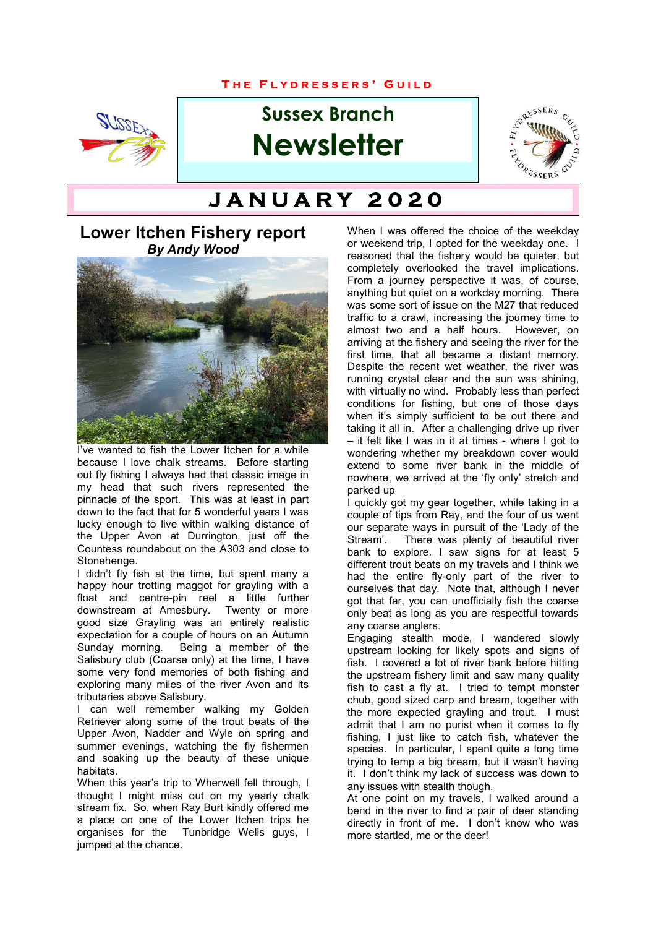#### **T H E F L Y D R E S S E R S ' G U I L D**



# **Sussex Branch Newsletter**



# **T H E F L Y D R E S S E R S ' G U I L D J A N U A R Y 2 0 2 0**

## **Lower Itchen Fishery report** *By Andy Wood*



I've wanted to fish the Lower Itchen for a while because I love chalk streams. Before starting out fly fishing I always had that classic image in my head that such rivers represented the pinnacle of the sport. This was at least in part down to the fact that for 5 wonderful years I was lucky enough to live within walking distance of the Upper Avon at Durrington, just off the Countess roundabout on the A303 and close to Stonehenge.

I didn't fly fish at the time, but spent many a happy hour trotting maggot for grayling with a float and centre-pin reel a little further downstream at Amesbury. Twenty or more good size Grayling was an entirely realistic expectation for a couple of hours on an Autumn<br>Sunday morning. Being a member of the Being a member of the Salisbury club (Coarse only) at the time, I have some very fond memories of both fishing and exploring many miles of the river Avon and its tributaries above Salisbury.

I can well remember walking my Golden Retriever along some of the trout beats of the Upper Avon, Nadder and Wyle on spring and summer evenings, watching the fly fishermen and soaking up the beauty of these unique habitats.

When this year's trip to Wherwell fell through, I thought I might miss out on my yearly chalk stream fix. So, when Ray Burt kindly offered me a place on one of the Lower Itchen trips he organises for the Tunbridge Wells guys, I jumped at the chance.

When I was offered the choice of the weekday or weekend trip, I opted for the weekday one. I reasoned that the fishery would be quieter, but completely overlooked the travel implications. From a journey perspective it was, of course, anything but quiet on a workday morning. There was some sort of issue on the M27 that reduced traffic to a crawl, increasing the journey time to almost two and a half hours. However, on arriving at the fishery and seeing the river for the first time, that all became a distant memory. Despite the recent wet weather, the river was running crystal clear and the sun was shining, with virtually no wind. Probably less than perfect conditions for fishing, but one of those days when it's simply sufficient to be out there and taking it all in. After a challenging drive up river – it felt like I was in it at times - where I got to wondering whether my breakdown cover would extend to some river bank in the middle of nowhere, we arrived at the 'fly only' stretch and parked up

I quickly got my gear together, while taking in a couple of tips from Ray, and the four of us went our separate ways in pursuit of the 'Lady of the<br>Stream' There was plenty of beautiful river There was plenty of beautiful river bank to explore. I saw signs for at least 5 different trout beats on my travels and I think we had the entire fly-only part of the river to ourselves that day. Note that, although I never got that far, you can unofficially fish the coarse only beat as long as you are respectful towards any coarse anglers.

Engaging stealth mode, I wandered slowly upstream looking for likely spots and signs of fish. I covered a lot of river bank before hitting the upstream fishery limit and saw many quality fish to cast a fly at. I tried to tempt monster chub, good sized carp and bream, together with the more expected grayling and trout. I must admit that I am no purist when it comes to fly fishing, I just like to catch fish, whatever the species. In particular, I spent quite a long time trying to temp a big bream, but it wasn't having it. I don't think my lack of success was down to any issues with stealth though.

At one point on my travels, I walked around a bend in the river to find a pair of deer standing directly in front of me. I don't know who was more startled, me or the deer!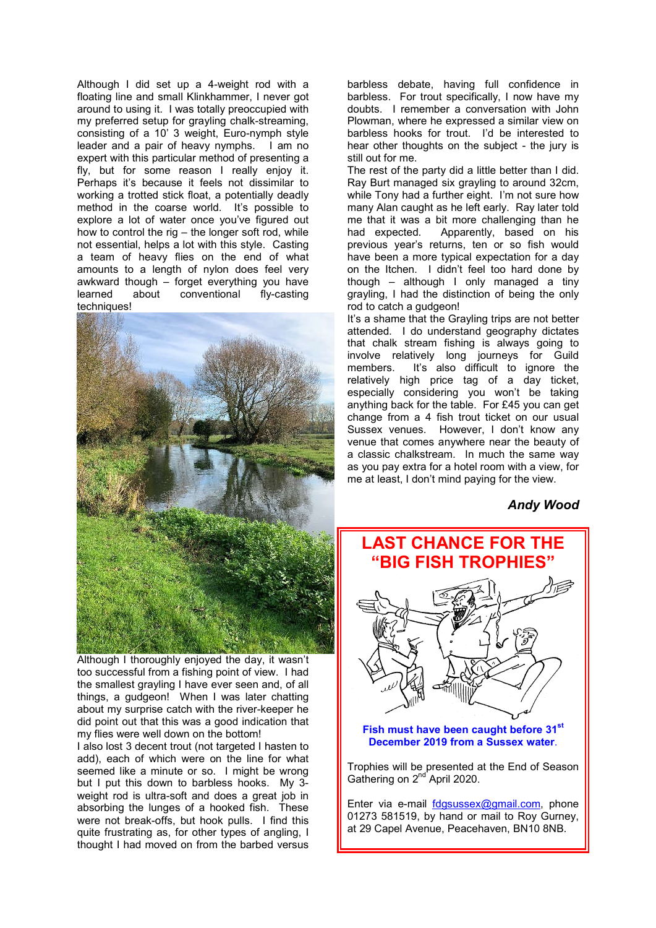Although I did set up a 4-weight rod with a floating line and small Klinkhammer, I never got around to using it. I was totally preoccupied with my preferred setup for grayling chalk-streaming, consisting of a 10' 3 weight, Euro-nymph style leader and a pair of heavy nymphs. I am no expert with this particular method of presenting a fly, but for some reason I really enjoy it. Perhaps it's because it feels not dissimilar to working a trotted stick float, a potentially deadly method in the coarse world. It's possible to explore a lot of water once you've figured out how to control the rig  $-$  the longer soft rod, while not essential, helps a lot with this style. Casting a team of heavy flies on the end of what amounts to a length of nylon does feel very awkward though – forget everything you have learned about conventional fly-casting techniques!



Although I thoroughly enjoyed the day, it wasn't too successful from a fishing point of view. I had the smallest grayling I have ever seen and, of all things, a gudgeon! When I was later chatting about my surprise catch with the river-keeper he did point out that this was a good indication that my flies were well down on the bottom!

I also lost 3 decent trout (not targeted I hasten to add), each of which were on the line for what seemed like a minute or so. I might be wrong but I put this down to barbless hooks. My 3 weight rod is ultra-soft and does a great job in absorbing the lunges of a hooked fish. These were not break-offs, but hook pulls. I find this quite frustrating as, for other types of angling, I thought I had moved on from the barbed versus

barbless debate, having full confidence in barbless. For trout specifically, I now have my doubts. I remember a conversation with John Plowman, where he expressed a similar view on barbless hooks for trout. I'd be interested to hear other thoughts on the subject - the jury is still out for me.

The rest of the party did a little better than I did. Ray Burt managed six grayling to around 32cm, while Tony had a further eight. I'm not sure how many Alan caught as he left early. Ray later told me that it was a bit more challenging than he had expected. Apparently, based on his previous year's returns, ten or so fish would have been a more typical expectation for a day on the Itchen. I didn't feel too hard done by though – although I only managed a tiny grayling, I had the distinction of being the only rod to catch a gudgeon!

It's a shame that the Grayling trips are not better attended. I do understand geography dictates that chalk stream fishing is always going to involve relatively long journeys for Guild members. It's also difficult to ignore the relatively high price tag of a day ticket, especially considering you won't be taking anything back for the table. For £45 you can get change from a 4 fish trout ticket on our usual Sussex venues. However, I don't know any venue that comes anywhere near the beauty of a classic chalkstream. In much the same way as you pay extra for a hotel room with a view, for me at least, I don't mind paying for the view.

*Andy Wood* 

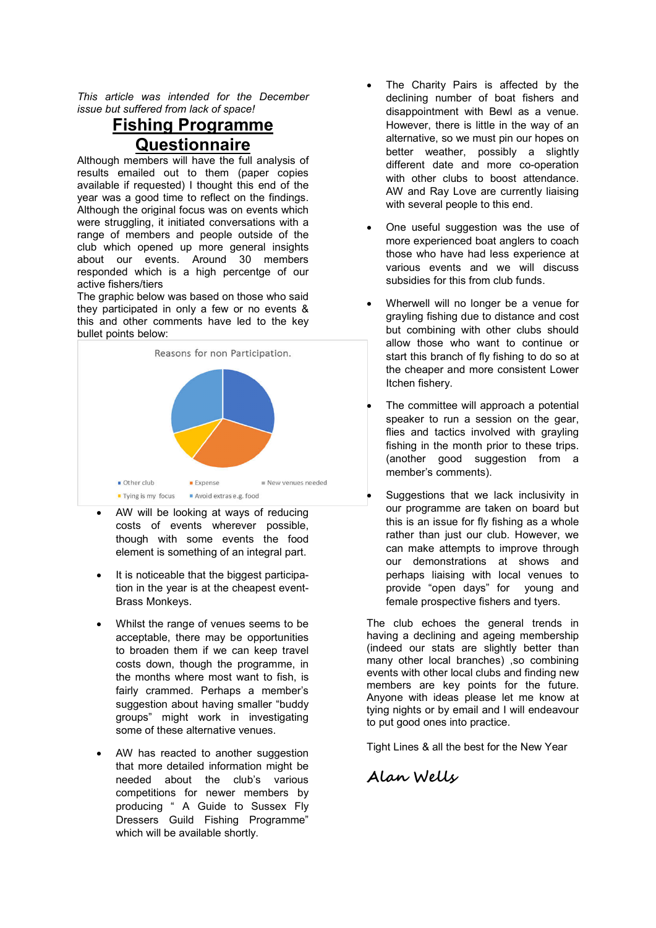*This article was intended for the December issue but suffered from lack of space!*

# **Fishing Programme Questionnaire**

Although members will have the full analysis of results emailed out to them (paper copies available if requested) I thought this end of the year was a good time to reflect on the findings. Although the original focus was on events which were struggling, it initiated conversations with a range of members and people outside of the club which opened up more general insights about our events. Around 30 members responded which is a high percentge of our active fishers/tiers

The graphic below was based on those who said they participated in only a few or no events & this and other comments have led to the key bullet points below:



- AW will be looking at ways of reducing costs of events wherever possible, though with some events the food element is something of an integral part.
- It is noticeable that the biggest participation in the year is at the cheapest event-Brass Monkeys.
- Whilst the range of venues seems to be acceptable, there may be opportunities to broaden them if we can keep travel costs down, though the programme, in the months where most want to fish, is fairly crammed. Perhaps a member's suggestion about having smaller "buddy groups" might work in investigating some of these alternative venues.
- AW has reacted to another suggestion that more detailed information might be needed about the club's various competitions for newer members by producing " A Guide to Sussex Fly Dressers Guild Fishing Programme" which will be available shortly.
- The Charity Pairs is affected by the declining number of boat fishers and disappointment with Bewl as a venue. However, there is little in the way of an alternative, so we must pin our hopes on better weather, possibly a slightly different date and more co-operation with other clubs to boost attendance. AW and Ray Love are currently liaising with several people to this end.
- One useful suggestion was the use of more experienced boat anglers to coach those who have had less experience at various events and we will discuss subsidies for this from club funds.
- Wherwell will no longer be a venue for grayling fishing due to distance and cost but combining with other clubs should allow those who want to continue or start this branch of fly fishing to do so at the cheaper and more consistent Lower Itchen fishery.
- The committee will approach a potential speaker to run a session on the gear, flies and tactics involved with grayling fishing in the month prior to these trips. (another good suggestion from a member's comments).
- Suggestions that we lack inclusivity in our programme are taken on board but this is an issue for fly fishing as a whole rather than just our club. However, we can make attempts to improve through our demonstrations at shows and perhaps liaising with local venues to provide "open days" for young and female prospective fishers and tyers.

The club echoes the general trends in having a declining and ageing membership (indeed our stats are slightly better than many other local branches) ,so combining events with other local clubs and finding new members are key points for the future. Anyone with ideas please let me know at tying nights or by email and I will endeavour to put good ones into practice.

Tight Lines & all the best for the New Year

**Alan Wells**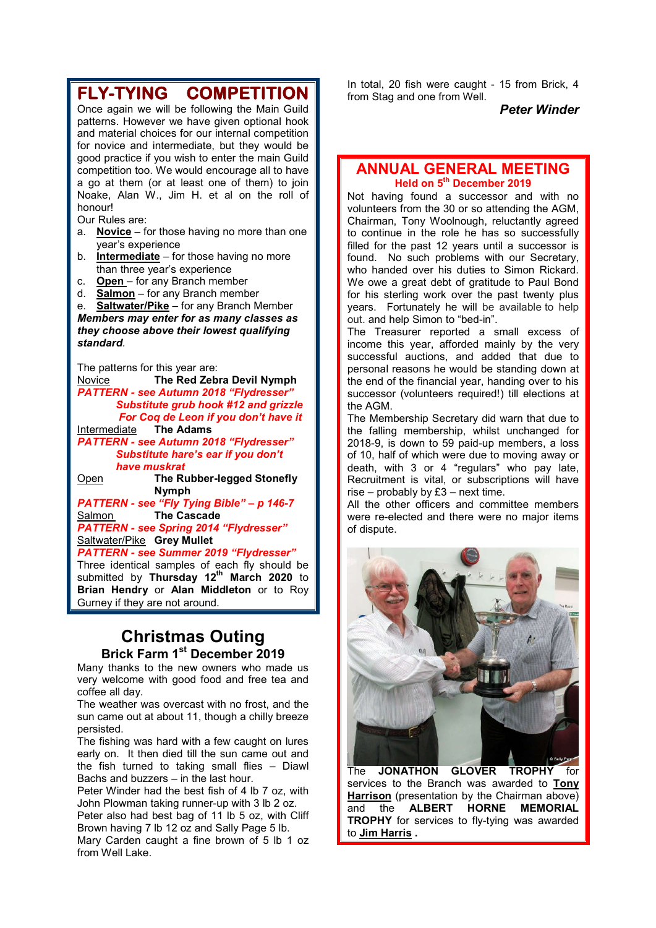#### **FLY-TYING COMPETITION** Once again we will be following the Main Guild patterns. However we have given optional hook and material choices for our internal competition for novice and intermediate, but they would be good practice if you wish to enter the main Guild competition too. We would encourage all to have a go at them (or at least one of them) to join Noake, Alan W., Jim H. et al on the roll of honour! Our Rules are: a. **Novice** – for those having no more than one year's experience b. **Intermediate** – for those having no more than three year's experience c. **Open** – for any Branch member d. **Salmon** – for any Branch member e. **Saltwater/Pike** – for any Branch Member *Members may enter for as many classes as they choose above their lowest qualifying standard*. The patterns for this year are: Novice **The Red Zebra Devil Nymph**

*PATTERN - see Autumn 2018 "Flydresser" Substitute grub hook #12 and grizzle For Coq de Leon if you don't have it* Intermediate **The Adams**

*PATTERN - see Autumn 2018 "Flydresser" Substitute hare's ear if you don't have muskrat*

Open **The Rubber-legged Stonefly Nymph**

*PATTERN - see "Fly Tying Bible" – p 146-7* Salmon **The Cascade** *PATTERN - see Spring 2014 "Flydresser"* Saltwater/Pike **Grey Mullet**

*PATTERN - see Summer 2019 "Flydresser"* Three identical samples of each fly should be submitted by **Thursday 12th March 2020** to **Brian Hendry** or **Alan Middleton** or to Roy Gurney if they are not around.

### **Christmas Outing Brick Farm 1st December 2019**

Many thanks to the new owners who made us very welcome with good food and free tea and coffee all day.

The weather was overcast with no frost, and the sun came out at about 11, though a chilly breeze persisted.

The fishing was hard with a few caught on lures early on. It then died till the sun came out and the fish turned to taking small flies – Diawl Bachs and buzzers – in the last hour.

Peter Winder had the best fish of 4 lb 7 oz, with John Plowman taking runner-up with 3 lb 2 oz. Peter also had best bag of 11 lb 5 oz, with Cliff

Brown having 7 lb 12 oz and Sally Page 5 lb.

Mary Carden caught a fine brown of 5 lb 1 oz from Well Lake

In total, 20 fish were caught - 15 from Brick, 4 from Stag and one from Well.

*Peter Winder*

#### **ANNUAL GENERAL MEETING Held on 5th December 2019**

Not having found a successor and with no volunteers from the 30 or so attending the AGM, Chairman, Tony Woolnough, reluctantly agreed to continue in the role he has so successfully filled for the past 12 years until a successor is found. No such problems with our Secretary, who handed over his duties to Simon Rickard. We owe a great debt of gratitude to Paul Bond for his sterling work over the past twenty plus years. Fortunately he will be available to help out. and help Simon to "bed-in".

The Treasurer reported a small excess of income this year, afforded mainly by the very successful auctions, and added that due to personal reasons he would be standing down at the end of the financial year, handing over to his successor (volunteers required!) till elections at the AGM.

The Membership Secretary did warn that due to the falling membership, whilst unchanged for 2018-9, is down to 59 paid-up members, a loss of 10, half of which were due to moving away or death, with 3 or 4 "regulars" who pay late, Recruitment is vital, or subscriptions will have rise – probably by  $£3$  – next time.

All the other officers and committee members were re-elected and there were no major items of dispute.



The **JONATHON GLOVER TROPHY** for services to the Branch was awarded to **Tony Harrison** (presentation by the Chairman above) and the **ALBERT HORNE MEMORIAL TROPHY** for services to fly-tying was awarded to **Jim Harris .**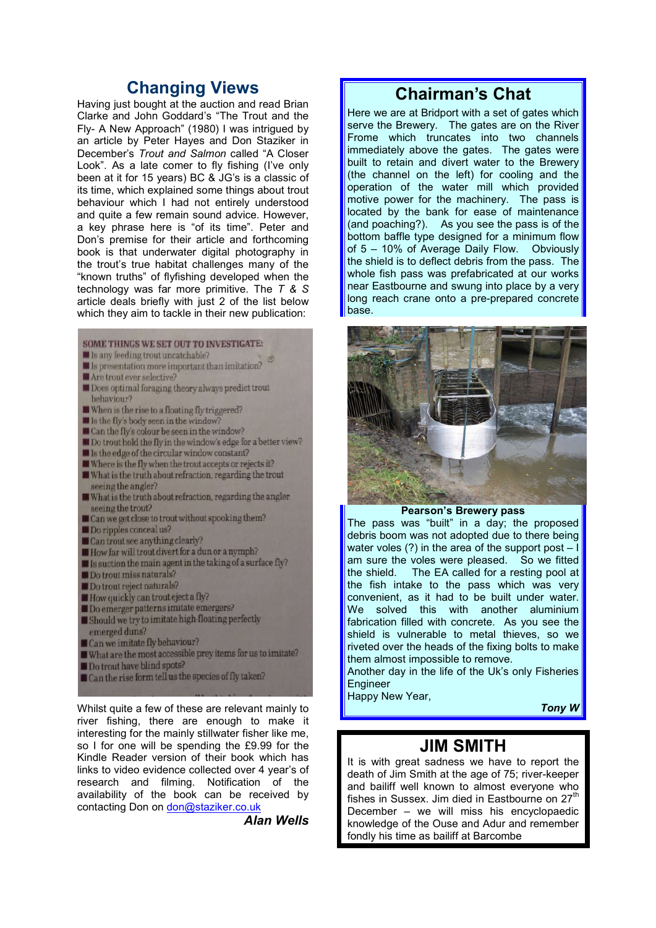## **Changing Views**

Having just bought at the auction and read Brian Clarke and John Goddard's "The Trout and the Fly- A New Approach" (1980) I was intrigued by an article by Peter Hayes and Don Staziker in December's *Trout and Salmon* called "A Closer Look". As a late comer to fly fishing (I've only been at it for 15 years) BC & JG's is a classic of its time, which explained some things about trout behaviour which I had not entirely understood and quite a few remain sound advice. However, a key phrase here is "of its time". Peter and Don's premise for their article and forthcoming book is that underwater digital photography in the trout's true habitat challenges many of the "known truths" of flyfishing developed when the technology was far more primitive. The *T & S*  article deals briefly with just 2 of the list below which they aim to tackle in their new publication:

#### **SOME THINGS WE SET OUT TO INVESTIGATE:**

- I Is any feeding trout uncatchable?
- I Is presentation more important than imitation?
- MAre trout ever selective?
- **III** Does optimal foraging theory always predict trout behaviour?
- When is the rise to a floating fly triggered?
- I Is the fly's body seen in the window?
- Can the fly's colour be seen in the window?
- **III** Do trout hold the fly in the window's edge for a better view?
- Ill Is the edge of the circular window constant?
- Where is the fly when the trout accepts or rejects it?
- What is the truth about refraction, regarding the trout seeing the angler?
- What is the truth about refraction, regarding the angler seeing the trout?
- Can we get close to trout without spooking them?
- Do ripples conceal us?
- $\Box$  Can trout see anything clearly?
- How far will trout divert for a dun or a nymph?
- $\blacksquare$  Is suction the main agent in the taking of a surface fly?
- Do trout miss naturals?
- Do trout reject naturals?
- How quickly can trout eject a fly?
- Do emerger patterns imitate emergers?
- Should we try to imitate high-floating perfectly emerged duns?
- Can we imitate fly behaviour?
- What are the most accessible prey items for us to imitate?
- Do trout have blind spots?
- Can the rise form tell us the species of fly taken?

Whilst quite a few of these are relevant mainly to river fishing, there are enough to make it interesting for the mainly stillwater fisher like me, so I for one will be spending the £9.99 for the Kindle Reader version of their book which has links to video evidence collected over 4 year's of research and filming. Notification of the availability of the book can be received by contacting Don on don@staziker.co.uk

*Alan Wells*

# **Chairman's Chat**

Here we are at Bridport with a set of gates which serve the Brewery. The gates are on the River Frome which truncates into two channels immediately above the gates. The gates were built to retain and divert water to the Brewery (the channel on the left) for cooling and the operation of the water mill which provided motive power for the machinery. The pass is located by the bank for ease of maintenance (and poaching?). As you see the pass is of the bottom baffle type designed for a minimum flow of 5 – 10% of Average Daily Flow. Obviously the shield is to deflect debris from the pass. The whole fish pass was prefabricated at our works near Eastbourne and swung into place by a very long reach crane onto a pre-prepared concrete base.



**Pearson's Brewery pass**

The pass was "built" in a day; the proposed debris boom was not adopted due to there being water voles  $(?)$  in the area of the support post  $$ am sure the voles were pleased. So we fitted<br>the shield. The EA called for a resting pool at The EA called for a resting pool at the fish intake to the pass which was very convenient, as it had to be built under water. We solved this with another aluminium fabrication filled with concrete. As you see the shield is vulnerable to metal thieves, so we riveted over the heads of the fixing bolts to make them almost impossible to remove.

Another day in the life of the Uk's only Fisheries **Engineer** 

Happy New Year,

*Tony W*

### **JIM SMITH**

It is with great sadness we have to report the death of Jim Smith at the age of 75; river-keeper and bailiff well known to almost everyone who fishes in Sussex. Jim died in Eastbourne on  $27<sup>th</sup>$ December – we will miss his encyclopaedic knowledge of the Ouse and Adur and remember fondly his time as bailiff at Barcombe